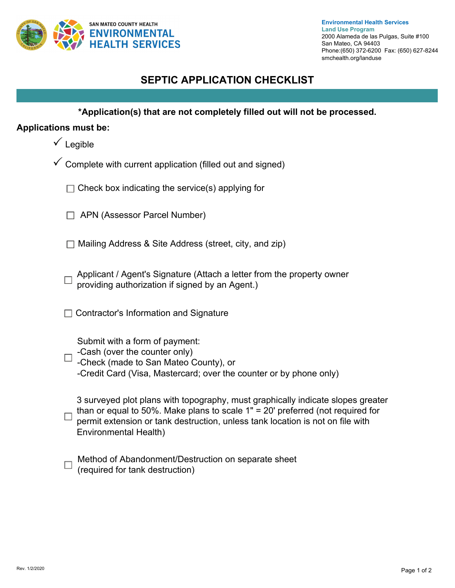

## **SEPTIC APPLICATION CHECKLIST**

**\*Application(s) that are not completely filled out will not be processed.**

## **Applications must be:**

- $\checkmark$  Legible
- $\checkmark$  Complete with current application (filled out and signed)
	- $\Box$  Check box indicating the service(s) applying for
	- APN (Assessor Parcel Number)
	- $\Box$  Mailing Address & Site Address (street, city, and zip)
	- Applicant / Agent's Signature (Attach a letter from the property owner providing authorization if signed by an Agent.)
	- $\Box$  Contractor's Information and Signature

Submit with a form of payment:

- -Cash (over the counter only)  $\Box$ 
	- -Check (made to San Mateo County), or
	- -Credit Card (Visa, Mastercard; over the counter or by phone only)

|  | 3 surveyed plot plans with topography, must graphically indicate slopes greater<br>$\Box$ than or equal to 50%. Make plans to scale 1" = 20' preferred (not required for |
|--|--------------------------------------------------------------------------------------------------------------------------------------------------------------------------|
|  | $\Box$ permit extension or tank destruction, unless tank location is not on file with<br>Environmental Health)                                                           |

|  | Method of Abandonment/Destruction on separate sheet |
|--|-----------------------------------------------------|
|  | $\Box$ (required for tank destruction)              |